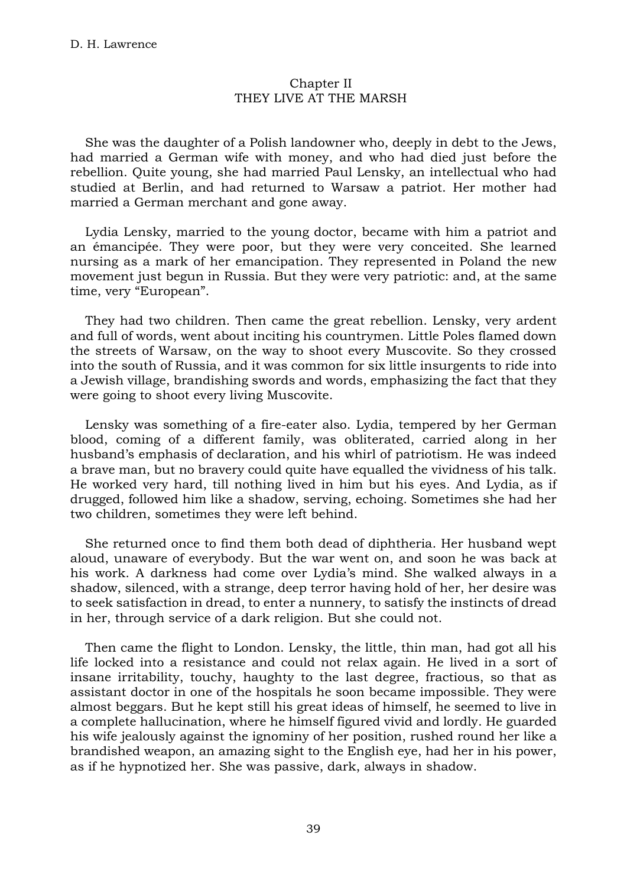## Chapter II THEY LIVE AT THE MARSH

She was the daughter of a Polish landowner who, deeply in debt to the Jews, had married a German wife with money, and who had died just before the rebellion. Quite young, she had married Paul Lensky, an intellectual who had studied at Berlin, and had returned to Warsaw a patriot. Her mother had married a German merchant and gone away.

Lydia Lensky, married to the young doctor, became with him a patriot and an émancipée. They were poor, but they were very conceited. She learned nursing as a mark of her emancipation. They represented in Poland the new movement just begun in Russia. But they were very patriotic: and, at the same time, very "European".

They had two children. Then came the great rebellion. Lensky, very ardent and full of words, went about inciting his countrymen. Little Poles flamed down the streets of Warsaw, on the way to shoot every Muscovite. So they crossed into the south of Russia, and it was common for six little insurgents to ride into a Jewish village, brandishing swords and words, emphasizing the fact that they were going to shoot every living Muscovite.

Lensky was something of a fire-eater also. Lydia, tempered by her German blood, coming of a different family, was obliterated, carried along in her husband's emphasis of declaration, and his whirl of patriotism. He was indeed a brave man, but no bravery could quite have equalled the vividness of his talk. He worked very hard, till nothing lived in him but his eyes. And Lydia, as if drugged, followed him like a shadow, serving, echoing. Sometimes she had her two children, sometimes they were left behind.

She returned once to find them both dead of diphtheria. Her husband wept aloud, unaware of everybody. But the war went on, and soon he was back at his work. A darkness had come over Lydia's mind. She walked always in a shadow, silenced, with a strange, deep terror having hold of her, her desire was to seek satisfaction in dread, to enter a nunnery, to satisfy the instincts of dread in her, through service of a dark religion. But she could not.

Then came the flight to London. Lensky, the little, thin man, had got all his life locked into a resistance and could not relax again. He lived in a sort of insane irritability, touchy, haughty to the last degree, fractious, so that as assistant doctor in one of the hospitals he soon became impossible. They were almost beggars. But he kept still his great ideas of himself, he seemed to live in a complete hallucination, where he himself figured vivid and lordly. He guarded his wife jealously against the ignominy of her position, rushed round her like a brandished weapon, an amazing sight to the English eye, had her in his power, as if he hypnotized her. She was passive, dark, always in shadow.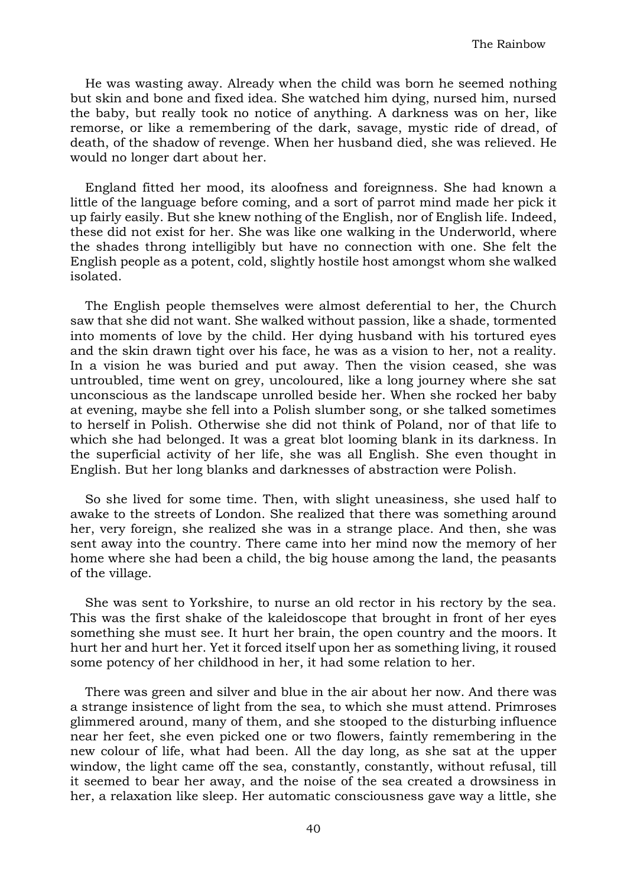He was wasting away. Already when the child was born he seemed nothing but skin and bone and fixed idea. She watched him dying, nursed him, nursed the baby, but really took no notice of anything. A darkness was on her, like remorse, or like a remembering of the dark, savage, mystic ride of dread, of death, of the shadow of revenge. When her husband died, she was relieved. He would no longer dart about her.

England fitted her mood, its aloofness and foreignness. She had known a little of the language before coming, and a sort of parrot mind made her pick it up fairly easily. But she knew nothing of the English, nor of English life. Indeed, these did not exist for her. She was like one walking in the Underworld, where the shades throng intelligibly but have no connection with one. She felt the English people as a potent, cold, slightly hostile host amongst whom she walked isolated.

The English people themselves were almost deferential to her, the Church saw that she did not want. She walked without passion, like a shade, tormented into moments of love by the child. Her dying husband with his tortured eyes and the skin drawn tight over his face, he was as a vision to her, not a reality. In a vision he was buried and put away. Then the vision ceased, she was untroubled, time went on grey, uncoloured, like a long journey where she sat unconscious as the landscape unrolled beside her. When she rocked her baby at evening, maybe she fell into a Polish slumber song, or she talked sometimes to herself in Polish. Otherwise she did not think of Poland, nor of that life to which she had belonged. It was a great blot looming blank in its darkness. In the superficial activity of her life, she was all English. She even thought in English. But her long blanks and darknesses of abstraction were Polish.

So she lived for some time. Then, with slight uneasiness, she used half to awake to the streets of London. She realized that there was something around her, very foreign, she realized she was in a strange place. And then, she was sent away into the country. There came into her mind now the memory of her home where she had been a child, the big house among the land, the peasants of the village.

She was sent to Yorkshire, to nurse an old rector in his rectory by the sea. This was the first shake of the kaleidoscope that brought in front of her eyes something she must see. It hurt her brain, the open country and the moors. It hurt her and hurt her. Yet it forced itself upon her as something living, it roused some potency of her childhood in her, it had some relation to her.

There was green and silver and blue in the air about her now. And there was a strange insistence of light from the sea, to which she must attend. Primroses glimmered around, many of them, and she stooped to the disturbing influence near her feet, she even picked one or two flowers, faintly remembering in the new colour of life, what had been. All the day long, as she sat at the upper window, the light came off the sea, constantly, constantly, without refusal, till it seemed to bear her away, and the noise of the sea created a drowsiness in her, a relaxation like sleep. Her automatic consciousness gave way a little, she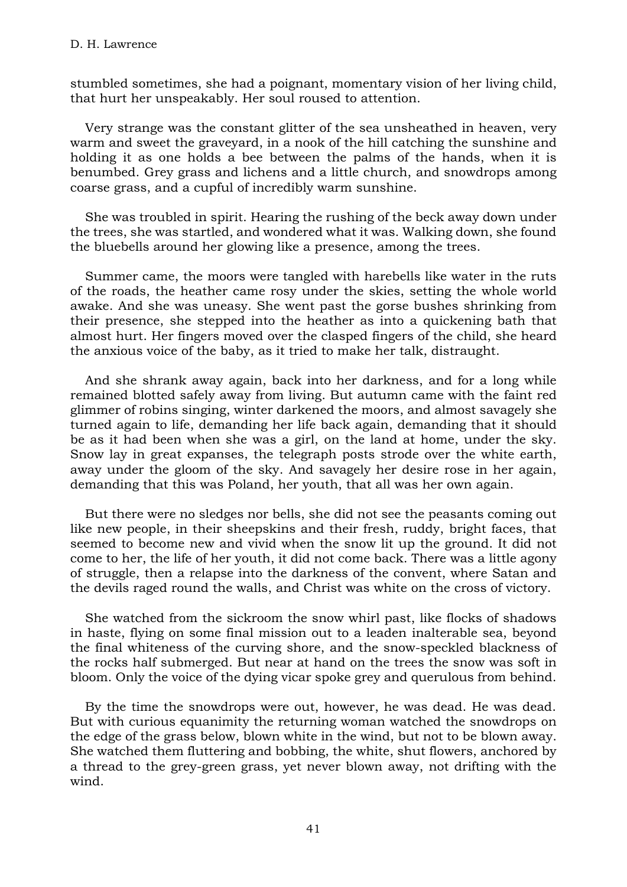stumbled sometimes, she had a poignant, momentary vision of her living child, that hurt her unspeakably. Her soul roused to attention.

Very strange was the constant glitter of the sea unsheathed in heaven, very warm and sweet the graveyard, in a nook of the hill catching the sunshine and holding it as one holds a bee between the palms of the hands, when it is benumbed. Grey grass and lichens and a little church, and snowdrops among coarse grass, and a cupful of incredibly warm sunshine.

She was troubled in spirit. Hearing the rushing of the beck away down under the trees, she was startled, and wondered what it was. Walking down, she found the bluebells around her glowing like a presence, among the trees.

Summer came, the moors were tangled with harebells like water in the ruts of the roads, the heather came rosy under the skies, setting the whole world awake. And she was uneasy. She went past the gorse bushes shrinking from their presence, she stepped into the heather as into a quickening bath that almost hurt. Her fingers moved over the clasped fingers of the child, she heard the anxious voice of the baby, as it tried to make her talk, distraught.

And she shrank away again, back into her darkness, and for a long while remained blotted safely away from living. But autumn came with the faint red glimmer of robins singing, winter darkened the moors, and almost savagely she turned again to life, demanding her life back again, demanding that it should be as it had been when she was a girl, on the land at home, under the sky. Snow lay in great expanses, the telegraph posts strode over the white earth, away under the gloom of the sky. And savagely her desire rose in her again, demanding that this was Poland, her youth, that all was her own again.

But there were no sledges nor bells, she did not see the peasants coming out like new people, in their sheepskins and their fresh, ruddy, bright faces, that seemed to become new and vivid when the snow lit up the ground. It did not come to her, the life of her youth, it did not come back. There was a little agony of struggle, then a relapse into the darkness of the convent, where Satan and the devils raged round the walls, and Christ was white on the cross of victory.

She watched from the sickroom the snow whirl past, like flocks of shadows in haste, flying on some final mission out to a leaden inalterable sea, beyond the final whiteness of the curving shore, and the snow-speckled blackness of the rocks half submerged. But near at hand on the trees the snow was soft in bloom. Only the voice of the dying vicar spoke grey and querulous from behind.

By the time the snowdrops were out, however, he was dead. He was dead. But with curious equanimity the returning woman watched the snowdrops on the edge of the grass below, blown white in the wind, but not to be blown away. She watched them fluttering and bobbing, the white, shut flowers, anchored by a thread to the grey-green grass, yet never blown away, not drifting with the wind.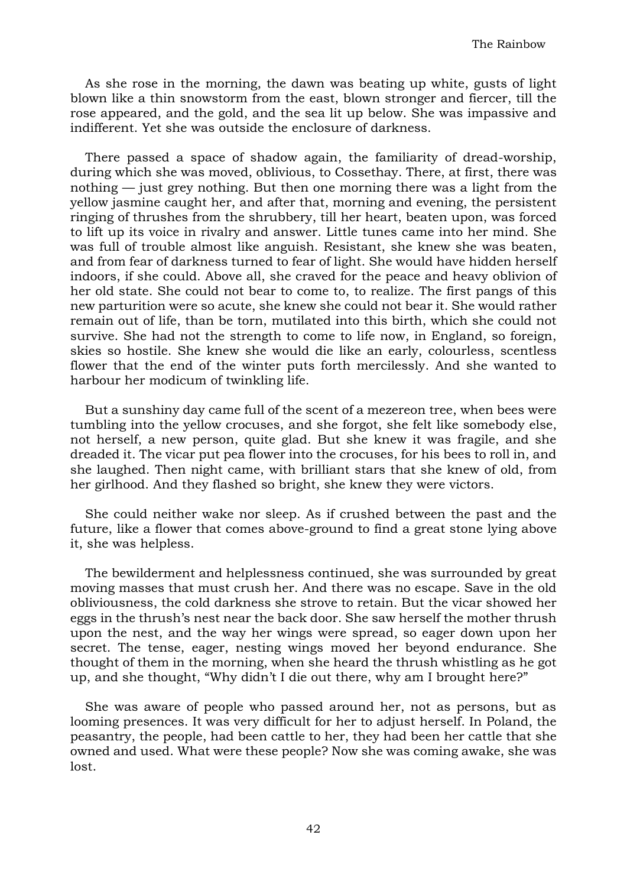As she rose in the morning, the dawn was beating up white, gusts of light blown like a thin snowstorm from the east, blown stronger and fiercer, till the rose appeared, and the gold, and the sea lit up below. She was impassive and indifferent. Yet she was outside the enclosure of darkness.

There passed a space of shadow again, the familiarity of dread-worship, during which she was moved, oblivious, to Cossethay. There, at first, there was nothing — just grey nothing. But then one morning there was a light from the yellow jasmine caught her, and after that, morning and evening, the persistent ringing of thrushes from the shrubbery, till her heart, beaten upon, was forced to lift up its voice in rivalry and answer. Little tunes came into her mind. She was full of trouble almost like anguish. Resistant, she knew she was beaten, and from fear of darkness turned to fear of light. She would have hidden herself indoors, if she could. Above all, she craved for the peace and heavy oblivion of her old state. She could not bear to come to, to realize. The first pangs of this new parturition were so acute, she knew she could not bear it. She would rather remain out of life, than be torn, mutilated into this birth, which she could not survive. She had not the strength to come to life now, in England, so foreign, skies so hostile. She knew she would die like an early, colourless, scentless flower that the end of the winter puts forth mercilessly. And she wanted to harbour her modicum of twinkling life.

But a sunshiny day came full of the scent of a mezereon tree, when bees were tumbling into the yellow crocuses, and she forgot, she felt like somebody else, not herself, a new person, quite glad. But she knew it was fragile, and she dreaded it. The vicar put pea flower into the crocuses, for his bees to roll in, and she laughed. Then night came, with brilliant stars that she knew of old, from her girlhood. And they flashed so bright, she knew they were victors.

She could neither wake nor sleep. As if crushed between the past and the future, like a flower that comes above-ground to find a great stone lying above it, she was helpless.

The bewilderment and helplessness continued, she was surrounded by great moving masses that must crush her. And there was no escape. Save in the old obliviousness, the cold darkness she strove to retain. But the vicar showed her eggs in the thrush's nest near the back door. She saw herself the mother thrush upon the nest, and the way her wings were spread, so eager down upon her secret. The tense, eager, nesting wings moved her beyond endurance. She thought of them in the morning, when she heard the thrush whistling as he got up, and she thought, "Why didn't I die out there, why am I brought here?"

She was aware of people who passed around her, not as persons, but as looming presences. It was very difficult for her to adjust herself. In Poland, the peasantry, the people, had been cattle to her, they had been her cattle that she owned and used. What were these people? Now she was coming awake, she was lost.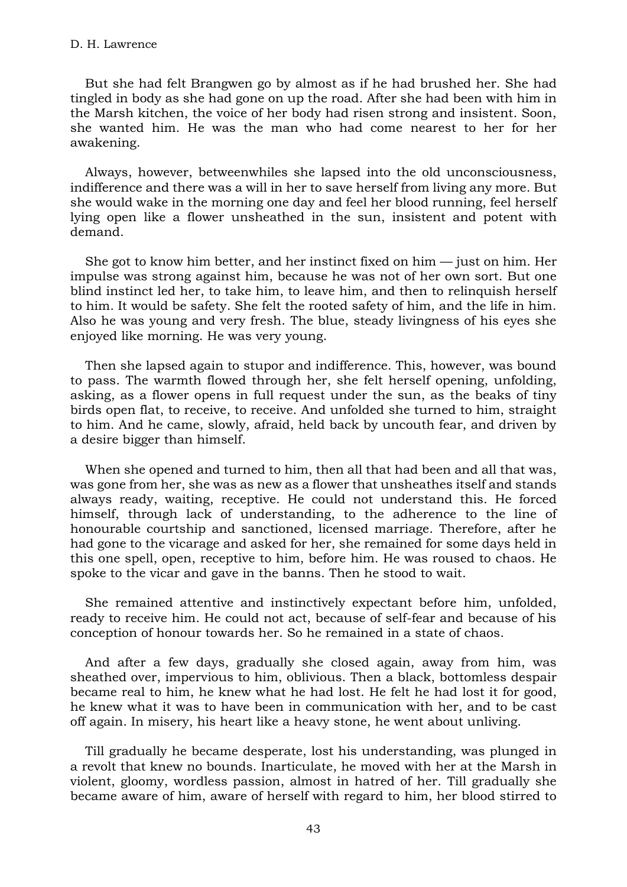But she had felt Brangwen go by almost as if he had brushed her. She had tingled in body as she had gone on up the road. After she had been with him in the Marsh kitchen, the voice of her body had risen strong and insistent. Soon, she wanted him. He was the man who had come nearest to her for her awakening.

Always, however, betweenwhiles she lapsed into the old unconsciousness, indifference and there was a will in her to save herself from living any more. But she would wake in the morning one day and feel her blood running, feel herself lying open like a flower unsheathed in the sun, insistent and potent with demand.

She got to know him better, and her instinct fixed on him  $-$  just on him. Her impulse was strong against him, because he was not of her own sort. But one blind instinct led her, to take him, to leave him, and then to relinquish herself to him. It would be safety. She felt the rooted safety of him, and the life in him. Also he was young and very fresh. The blue, steady livingness of his eyes she enjoyed like morning. He was very young.

Then she lapsed again to stupor and indifference. This, however, was bound to pass. The warmth flowed through her, she felt herself opening, unfolding, asking, as a flower opens in full request under the sun, as the beaks of tiny birds open flat, to receive, to receive. And unfolded she turned to him, straight to him. And he came, slowly, afraid, held back by uncouth fear, and driven by a desire bigger than himself.

When she opened and turned to him, then all that had been and all that was, was gone from her, she was as new as a flower that unsheathes itself and stands always ready, waiting, receptive. He could not understand this. He forced himself, through lack of understanding, to the adherence to the line of honourable courtship and sanctioned, licensed marriage. Therefore, after he had gone to the vicarage and asked for her, she remained for some days held in this one spell, open, receptive to him, before him. He was roused to chaos. He spoke to the vicar and gave in the banns. Then he stood to wait.

She remained attentive and instinctively expectant before him, unfolded, ready to receive him. He could not act, because of self-fear and because of his conception of honour towards her. So he remained in a state of chaos.

And after a few days, gradually she closed again, away from him, was sheathed over, impervious to him, oblivious. Then a black, bottomless despair became real to him, he knew what he had lost. He felt he had lost it for good, he knew what it was to have been in communication with her, and to be cast off again. In misery, his heart like a heavy stone, he went about unliving.

Till gradually he became desperate, lost his understanding, was plunged in a revolt that knew no bounds. Inarticulate, he moved with her at the Marsh in violent, gloomy, wordless passion, almost in hatred of her. Till gradually she became aware of him, aware of herself with regard to him, her blood stirred to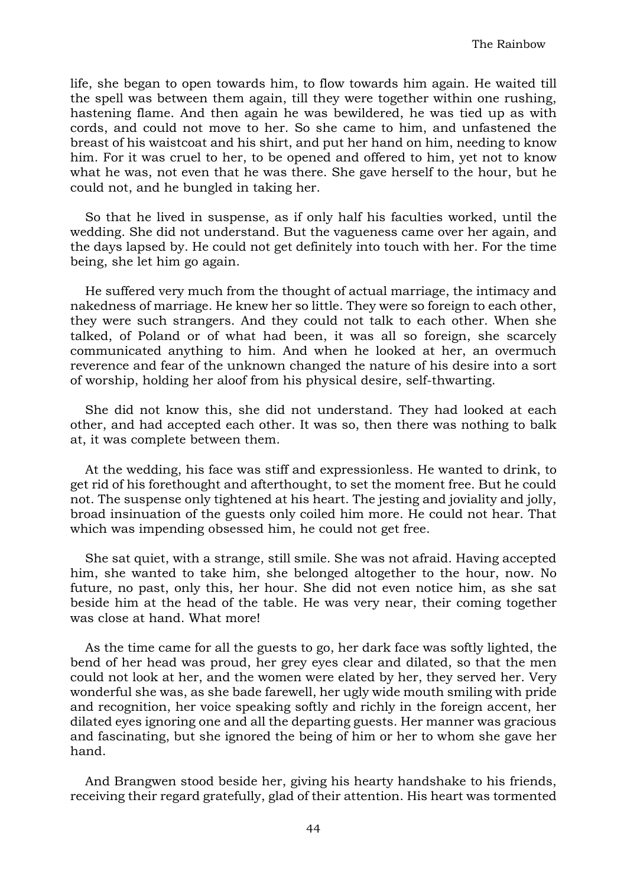life, she began to open towards him, to flow towards him again. He waited till the spell was between them again, till they were together within one rushing, hastening flame. And then again he was bewildered, he was tied up as with cords, and could not move to her. So she came to him, and unfastened the breast of his waistcoat and his shirt, and put her hand on him, needing to know him. For it was cruel to her, to be opened and offered to him, yet not to know what he was, not even that he was there. She gave herself to the hour, but he could not, and he bungled in taking her.

So that he lived in suspense, as if only half his faculties worked, until the wedding. She did not understand. But the vagueness came over her again, and the days lapsed by. He could not get definitely into touch with her. For the time being, she let him go again.

He suffered very much from the thought of actual marriage, the intimacy and nakedness of marriage. He knew her so little. They were so foreign to each other, they were such strangers. And they could not talk to each other. When she talked, of Poland or of what had been, it was all so foreign, she scarcely communicated anything to him. And when he looked at her, an overmuch reverence and fear of the unknown changed the nature of his desire into a sort of worship, holding her aloof from his physical desire, self-thwarting.

She did not know this, she did not understand. They had looked at each other, and had accepted each other. It was so, then there was nothing to balk at, it was complete between them.

At the wedding, his face was stiff and expressionless. He wanted to drink, to get rid of his forethought and afterthought, to set the moment free. But he could not. The suspense only tightened at his heart. The jesting and joviality and jolly, broad insinuation of the guests only coiled him more. He could not hear. That which was impending obsessed him, he could not get free.

She sat quiet, with a strange, still smile. She was not afraid. Having accepted him, she wanted to take him, she belonged altogether to the hour, now. No future, no past, only this, her hour. She did not even notice him, as she sat beside him at the head of the table. He was very near, their coming together was close at hand. What more!

As the time came for all the guests to go, her dark face was softly lighted, the bend of her head was proud, her grey eyes clear and dilated, so that the men could not look at her, and the women were elated by her, they served her. Very wonderful she was, as she bade farewell, her ugly wide mouth smiling with pride and recognition, her voice speaking softly and richly in the foreign accent, her dilated eyes ignoring one and all the departing guests. Her manner was gracious and fascinating, but she ignored the being of him or her to whom she gave her hand.

And Brangwen stood beside her, giving his hearty handshake to his friends, receiving their regard gratefully, glad of their attention. His heart was tormented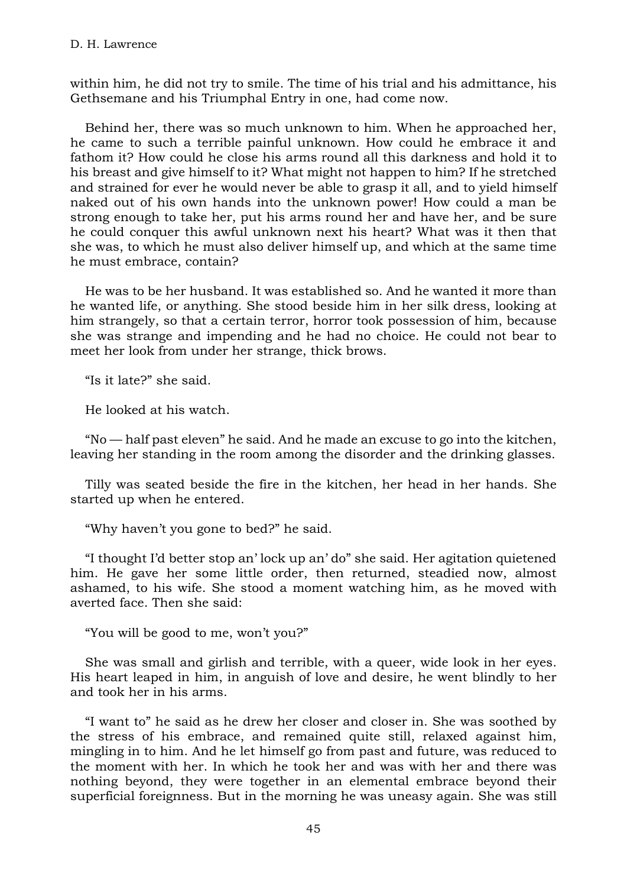within him, he did not try to smile. The time of his trial and his admittance, his Gethsemane and his Triumphal Entry in one, had come now.

Behind her, there was so much unknown to him. When he approached her, he came to such a terrible painful unknown. How could he embrace it and fathom it? How could he close his arms round all this darkness and hold it to his breast and give himself to it? What might not happen to him? If he stretched and strained for ever he would never be able to grasp it all, and to yield himself naked out of his own hands into the unknown power! How could a man be strong enough to take her, put his arms round her and have her, and be sure he could conquer this awful unknown next his heart? What was it then that she was, to which he must also deliver himself up, and which at the same time he must embrace, contain?

He was to be her husband. It was established so. And he wanted it more than he wanted life, or anything. She stood beside him in her silk dress, looking at him strangely, so that a certain terror, horror took possession of him, because she was strange and impending and he had no choice. He could not bear to meet her look from under her strange, thick brows.

"Is it late?" she said.

He looked at his watch.

"No — half past eleven" he said. And he made an excuse to go into the kitchen, leaving her standing in the room among the disorder and the drinking glasses.

Tilly was seated beside the fire in the kitchen, her head in her hands. She started up when he entered.

"Why haven't you gone to bed?" he said.

"I thought I'd better stop an' lock up an' do" she said. Her agitation quietened him. He gave her some little order, then returned, steadied now, almost ashamed, to his wife. She stood a moment watching him, as he moved with averted face. Then she said:

"You will be good to me, won't you?"

She was small and girlish and terrible, with a queer, wide look in her eyes. His heart leaped in him, in anguish of love and desire, he went blindly to her and took her in his arms.

"I want to" he said as he drew her closer and closer in. She was soothed by the stress of his embrace, and remained quite still, relaxed against him, mingling in to him. And he let himself go from past and future, was reduced to the moment with her. In which he took her and was with her and there was nothing beyond, they were together in an elemental embrace beyond their superficial foreignness. But in the morning he was uneasy again. She was still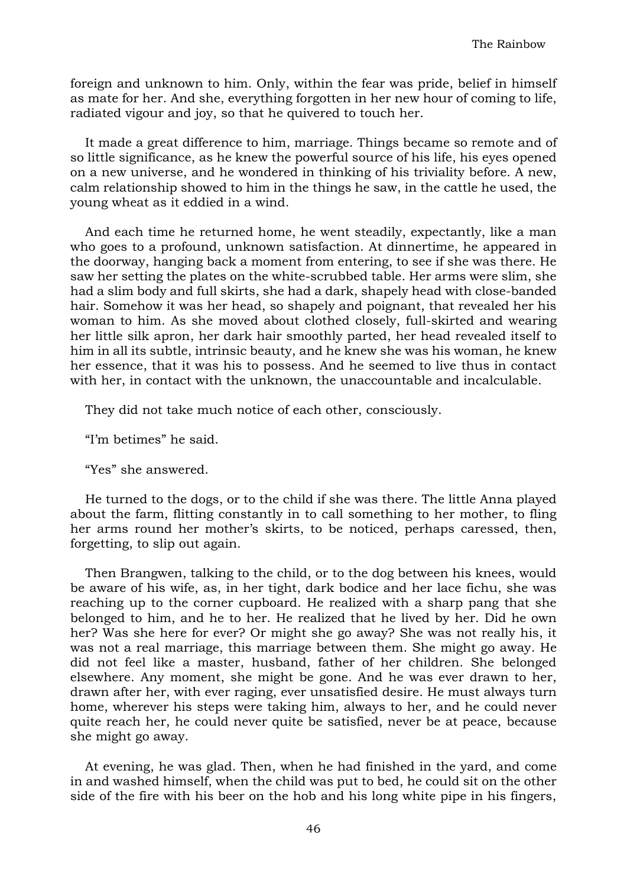foreign and unknown to him. Only, within the fear was pride, belief in himself as mate for her. And she, everything forgotten in her new hour of coming to life, radiated vigour and joy, so that he quivered to touch her.

It made a great difference to him, marriage. Things became so remote and of so little significance, as he knew the powerful source of his life, his eyes opened on a new universe, and he wondered in thinking of his triviality before. A new, calm relationship showed to him in the things he saw, in the cattle he used, the young wheat as it eddied in a wind.

And each time he returned home, he went steadily, expectantly, like a man who goes to a profound, unknown satisfaction. At dinnertime, he appeared in the doorway, hanging back a moment from entering, to see if she was there. He saw her setting the plates on the white-scrubbed table. Her arms were slim, she had a slim body and full skirts, she had a dark, shapely head with close-banded hair. Somehow it was her head, so shapely and poignant, that revealed her his woman to him. As she moved about clothed closely, full-skirted and wearing her little silk apron, her dark hair smoothly parted, her head revealed itself to him in all its subtle, intrinsic beauty, and he knew she was his woman, he knew her essence, that it was his to possess. And he seemed to live thus in contact with her, in contact with the unknown, the unaccountable and incalculable.

They did not take much notice of each other, consciously.

"I'm betimes" he said.

"Yes" she answered.

He turned to the dogs, or to the child if she was there. The little Anna played about the farm, flitting constantly in to call something to her mother, to fling her arms round her mother's skirts, to be noticed, perhaps caressed, then, forgetting, to slip out again.

Then Brangwen, talking to the child, or to the dog between his knees, would be aware of his wife, as, in her tight, dark bodice and her lace fichu, she was reaching up to the corner cupboard. He realized with a sharp pang that she belonged to him, and he to her. He realized that he lived by her. Did he own her? Was she here for ever? Or might she go away? She was not really his, it was not a real marriage, this marriage between them. She might go away. He did not feel like a master, husband, father of her children. She belonged elsewhere. Any moment, she might be gone. And he was ever drawn to her, drawn after her, with ever raging, ever unsatisfied desire. He must always turn home, wherever his steps were taking him, always to her, and he could never quite reach her, he could never quite be satisfied, never be at peace, because she might go away.

At evening, he was glad. Then, when he had finished in the yard, and come in and washed himself, when the child was put to bed, he could sit on the other side of the fire with his beer on the hob and his long white pipe in his fingers,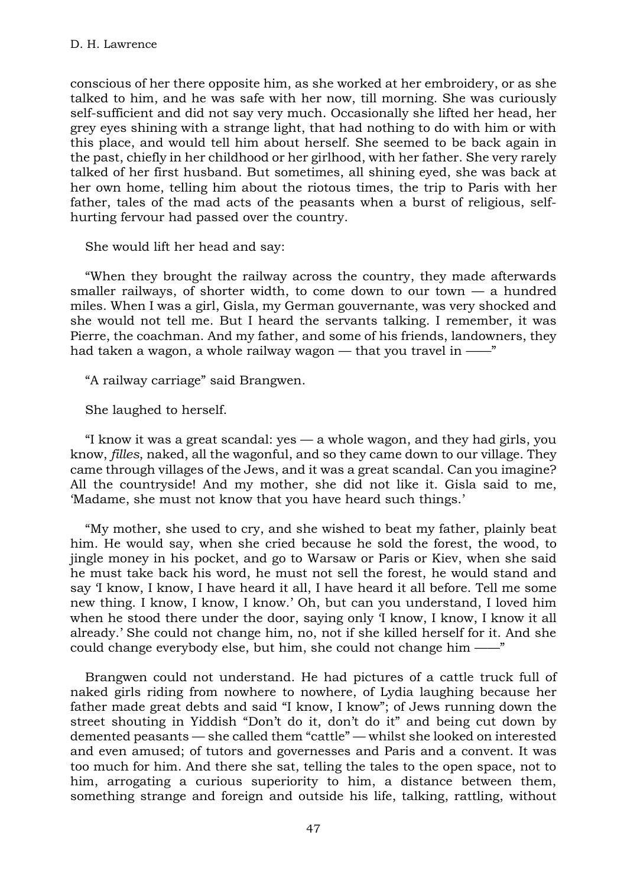conscious of her there opposite him, as she worked at her embroidery, or as she talked to him, and he was safe with her now, till morning. She was curiously self-sufficient and did not say very much. Occasionally she lifted her head, her grey eyes shining with a strange light, that had nothing to do with him or with this place, and would tell him about herself. She seemed to be back again in the past, chiefly in her childhood or her girlhood, with her father. She very rarely talked of her first husband. But sometimes, all shining eyed, she was back at her own home, telling him about the riotous times, the trip to Paris with her father, tales of the mad acts of the peasants when a burst of religious, selfhurting fervour had passed over the country.

She would lift her head and say:

"When they brought the railway across the country, they made afterwards smaller railways, of shorter width, to come down to our town  $-$  a hundred miles. When I was a girl, Gisla, my German gouvernante, was very shocked and she would not tell me. But I heard the servants talking. I remember, it was Pierre, the coachman. And my father, and some of his friends, landowners, they had taken a wagon, a whole railway wagon — that you travel in ——"

"A railway carriage" said Brangwen.

She laughed to herself.

"I know it was a great scandal: yes — a whole wagon, and they had girls, you know, *filles*, naked, all the wagonful, and so they came down to our village. They came through villages of the Jews, and it was a great scandal. Can you imagine? All the countryside! And my mother, she did not like it. Gisla said to me, 'Madame, she must not know that you have heard such things.'

"My mother, she used to cry, and she wished to beat my father, plainly beat him. He would say, when she cried because he sold the forest, the wood, to jingle money in his pocket, and go to Warsaw or Paris or Kiev, when she said he must take back his word, he must not sell the forest, he would stand and say 'I know, I know, I have heard it all, I have heard it all before. Tell me some new thing. I know, I know, I know.' Oh, but can you understand, I loved him when he stood there under the door, saying only 'I know, I know, I know it all already.' She could not change him, no, not if she killed herself for it. And she could change everybody else, but him, she could not change him ——"

Brangwen could not understand. He had pictures of a cattle truck full of naked girls riding from nowhere to nowhere, of Lydia laughing because her father made great debts and said "I know, I know"; of Jews running down the street shouting in Yiddish "Don't do it, don't do it" and being cut down by demented peasants — she called them "cattle" — whilst she looked on interested and even amused; of tutors and governesses and Paris and a convent. It was too much for him. And there she sat, telling the tales to the open space, not to him, arrogating a curious superiority to him, a distance between them, something strange and foreign and outside his life, talking, rattling, without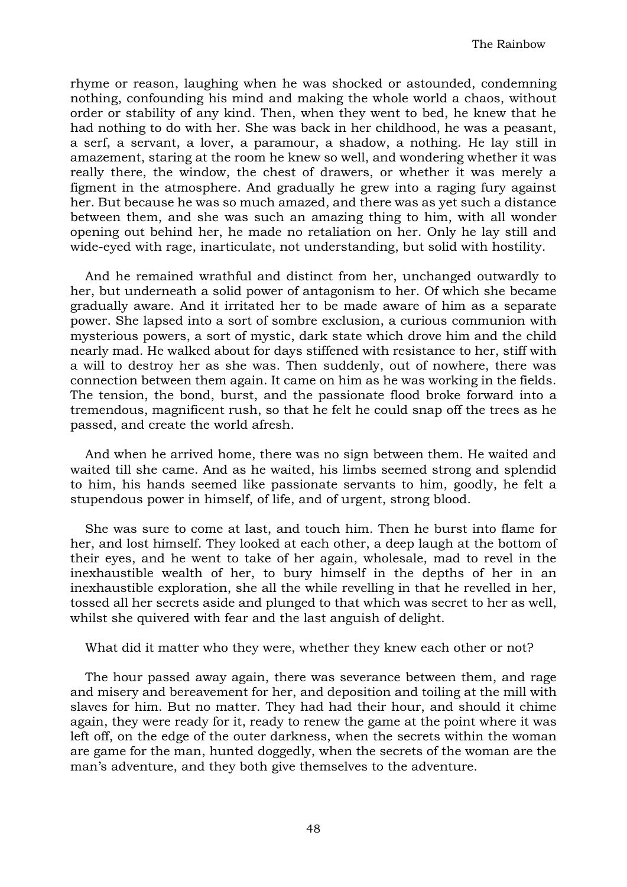rhyme or reason, laughing when he was shocked or astounded, condemning nothing, confounding his mind and making the whole world a chaos, without order or stability of any kind. Then, when they went to bed, he knew that he had nothing to do with her. She was back in her childhood, he was a peasant, a serf, a servant, a lover, a paramour, a shadow, a nothing. He lay still in amazement, staring at the room he knew so well, and wondering whether it was really there, the window, the chest of drawers, or whether it was merely a figment in the atmosphere. And gradually he grew into a raging fury against her. But because he was so much amazed, and there was as yet such a distance between them, and she was such an amazing thing to him, with all wonder opening out behind her, he made no retaliation on her. Only he lay still and wide-eyed with rage, inarticulate, not understanding, but solid with hostility.

And he remained wrathful and distinct from her, unchanged outwardly to her, but underneath a solid power of antagonism to her. Of which she became gradually aware. And it irritated her to be made aware of him as a separate power. She lapsed into a sort of sombre exclusion, a curious communion with mysterious powers, a sort of mystic, dark state which drove him and the child nearly mad. He walked about for days stiffened with resistance to her, stiff with a will to destroy her as she was. Then suddenly, out of nowhere, there was connection between them again. It came on him as he was working in the fields. The tension, the bond, burst, and the passionate flood broke forward into a tremendous, magnificent rush, so that he felt he could snap off the trees as he passed, and create the world afresh.

And when he arrived home, there was no sign between them. He waited and waited till she came. And as he waited, his limbs seemed strong and splendid to him, his hands seemed like passionate servants to him, goodly, he felt a stupendous power in himself, of life, and of urgent, strong blood.

She was sure to come at last, and touch him. Then he burst into flame for her, and lost himself. They looked at each other, a deep laugh at the bottom of their eyes, and he went to take of her again, wholesale, mad to revel in the inexhaustible wealth of her, to bury himself in the depths of her in an inexhaustible exploration, she all the while revelling in that he revelled in her, tossed all her secrets aside and plunged to that which was secret to her as well, whilst she quivered with fear and the last anguish of delight.

What did it matter who they were, whether they knew each other or not?

The hour passed away again, there was severance between them, and rage and misery and bereavement for her, and deposition and toiling at the mill with slaves for him. But no matter. They had had their hour, and should it chime again, they were ready for it, ready to renew the game at the point where it was left off, on the edge of the outer darkness, when the secrets within the woman are game for the man, hunted doggedly, when the secrets of the woman are the man's adventure, and they both give themselves to the adventure.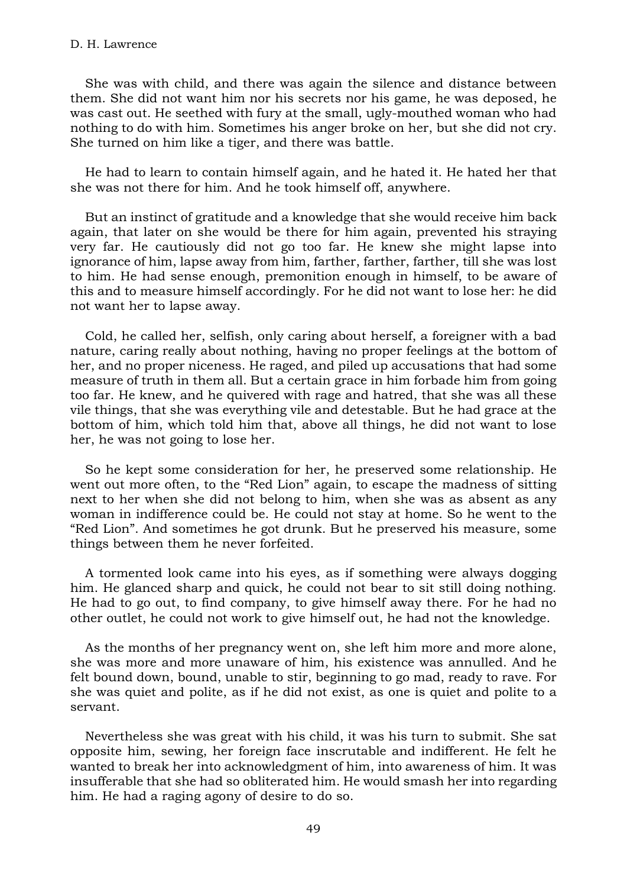## D. H. Lawrence

She was with child, and there was again the silence and distance between them. She did not want him nor his secrets nor his game, he was deposed, he was cast out. He seethed with fury at the small, ugly-mouthed woman who had nothing to do with him. Sometimes his anger broke on her, but she did not cry. She turned on him like a tiger, and there was battle.

He had to learn to contain himself again, and he hated it. He hated her that she was not there for him. And he took himself off, anywhere.

But an instinct of gratitude and a knowledge that she would receive him back again, that later on she would be there for him again, prevented his straying very far. He cautiously did not go too far. He knew she might lapse into ignorance of him, lapse away from him, farther, farther, farther, till she was lost to him. He had sense enough, premonition enough in himself, to be aware of this and to measure himself accordingly. For he did not want to lose her: he did not want her to lapse away.

Cold, he called her, selfish, only caring about herself, a foreigner with a bad nature, caring really about nothing, having no proper feelings at the bottom of her, and no proper niceness. He raged, and piled up accusations that had some measure of truth in them all. But a certain grace in him forbade him from going too far. He knew, and he quivered with rage and hatred, that she was all these vile things, that she was everything vile and detestable. But he had grace at the bottom of him, which told him that, above all things, he did not want to lose her, he was not going to lose her.

So he kept some consideration for her, he preserved some relationship. He went out more often, to the "Red Lion" again, to escape the madness of sitting next to her when she did not belong to him, when she was as absent as any woman in indifference could be. He could not stay at home. So he went to the "Red Lion". And sometimes he got drunk. But he preserved his measure, some things between them he never forfeited.

A tormented look came into his eyes, as if something were always dogging him. He glanced sharp and quick, he could not bear to sit still doing nothing. He had to go out, to find company, to give himself away there. For he had no other outlet, he could not work to give himself out, he had not the knowledge.

As the months of her pregnancy went on, she left him more and more alone, she was more and more unaware of him, his existence was annulled. And he felt bound down, bound, unable to stir, beginning to go mad, ready to rave. For she was quiet and polite, as if he did not exist, as one is quiet and polite to a servant.

Nevertheless she was great with his child, it was his turn to submit. She sat opposite him, sewing, her foreign face inscrutable and indifferent. He felt he wanted to break her into acknowledgment of him, into awareness of him. It was insufferable that she had so obliterated him. He would smash her into regarding him. He had a raging agony of desire to do so.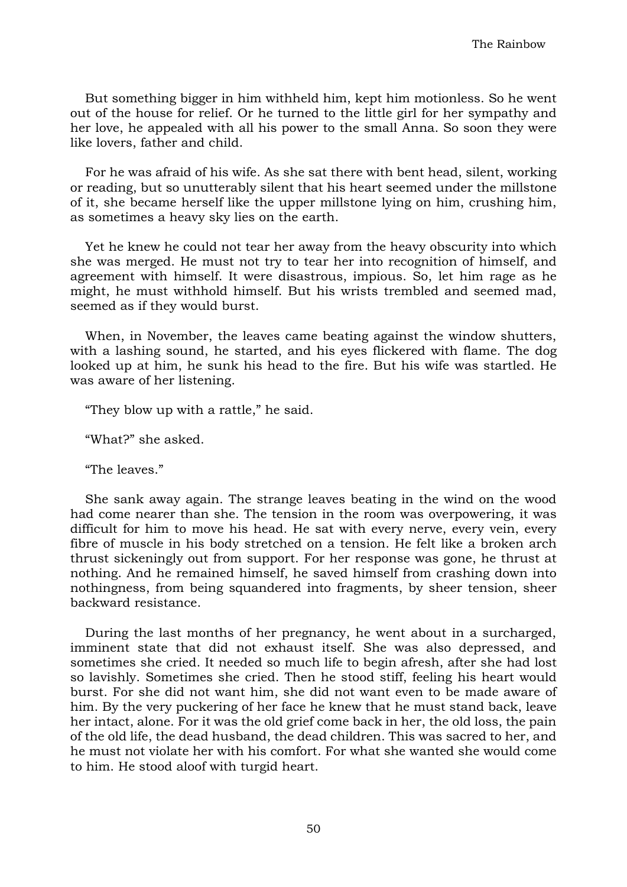But something bigger in him withheld him, kept him motionless. So he went out of the house for relief. Or he turned to the little girl for her sympathy and her love, he appealed with all his power to the small Anna. So soon they were like lovers, father and child.

For he was afraid of his wife. As she sat there with bent head, silent, working or reading, but so unutterably silent that his heart seemed under the millstone of it, she became herself like the upper millstone lying on him, crushing him, as sometimes a heavy sky lies on the earth.

Yet he knew he could not tear her away from the heavy obscurity into which she was merged. He must not try to tear her into recognition of himself, and agreement with himself. It were disastrous, impious. So, let him rage as he might, he must withhold himself. But his wrists trembled and seemed mad, seemed as if they would burst.

When, in November, the leaves came beating against the window shutters, with a lashing sound, he started, and his eyes flickered with flame. The dog looked up at him, he sunk his head to the fire. But his wife was startled. He was aware of her listening.

"They blow up with a rattle," he said.

"What?" she asked.

"The leaves."

She sank away again. The strange leaves beating in the wind on the wood had come nearer than she. The tension in the room was overpowering, it was difficult for him to move his head. He sat with every nerve, every vein, every fibre of muscle in his body stretched on a tension. He felt like a broken arch thrust sickeningly out from support. For her response was gone, he thrust at nothing. And he remained himself, he saved himself from crashing down into nothingness, from being squandered into fragments, by sheer tension, sheer backward resistance.

During the last months of her pregnancy, he went about in a surcharged, imminent state that did not exhaust itself. She was also depressed, and sometimes she cried. It needed so much life to begin afresh, after she had lost so lavishly. Sometimes she cried. Then he stood stiff, feeling his heart would burst. For she did not want him, she did not want even to be made aware of him. By the very puckering of her face he knew that he must stand back, leave her intact, alone. For it was the old grief come back in her, the old loss, the pain of the old life, the dead husband, the dead children. This was sacred to her, and he must not violate her with his comfort. For what she wanted she would come to him. He stood aloof with turgid heart.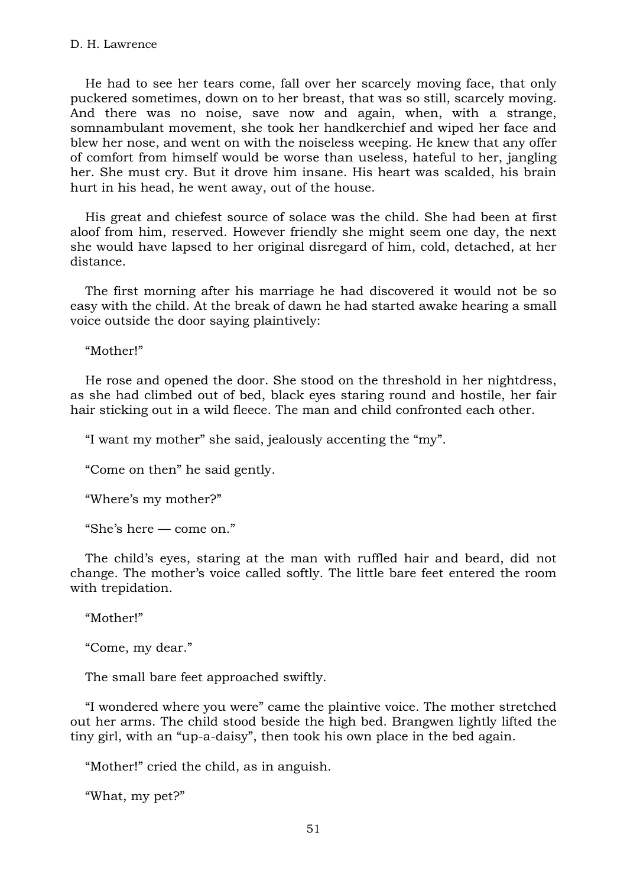He had to see her tears come, fall over her scarcely moving face, that only puckered sometimes, down on to her breast, that was so still, scarcely moving. And there was no noise, save now and again, when, with a strange, somnambulant movement, she took her handkerchief and wiped her face and blew her nose, and went on with the noiseless weeping. He knew that any offer of comfort from himself would be worse than useless, hateful to her, jangling her. She must cry. But it drove him insane. His heart was scalded, his brain hurt in his head, he went away, out of the house.

His great and chiefest source of solace was the child. She had been at first aloof from him, reserved. However friendly she might seem one day, the next she would have lapsed to her original disregard of him, cold, detached, at her distance.

The first morning after his marriage he had discovered it would not be so easy with the child. At the break of dawn he had started awake hearing a small voice outside the door saying plaintively:

"Mother!"

He rose and opened the door. She stood on the threshold in her nightdress, as she had climbed out of bed, black eyes staring round and hostile, her fair hair sticking out in a wild fleece. The man and child confronted each other.

"I want my mother" she said, jealously accenting the "my".

"Come on then" he said gently.

"Where's my mother?"

"She's here — come on."

The child's eyes, staring at the man with ruffled hair and beard, did not change. The mother's voice called softly. The little bare feet entered the room with trepidation.

"Mother!"

"Come, my dear."

The small bare feet approached swiftly.

"I wondered where you were" came the plaintive voice. The mother stretched out her arms. The child stood beside the high bed. Brangwen lightly lifted the tiny girl, with an "up-a-daisy", then took his own place in the bed again.

"Mother!" cried the child, as in anguish.

"What, my pet?"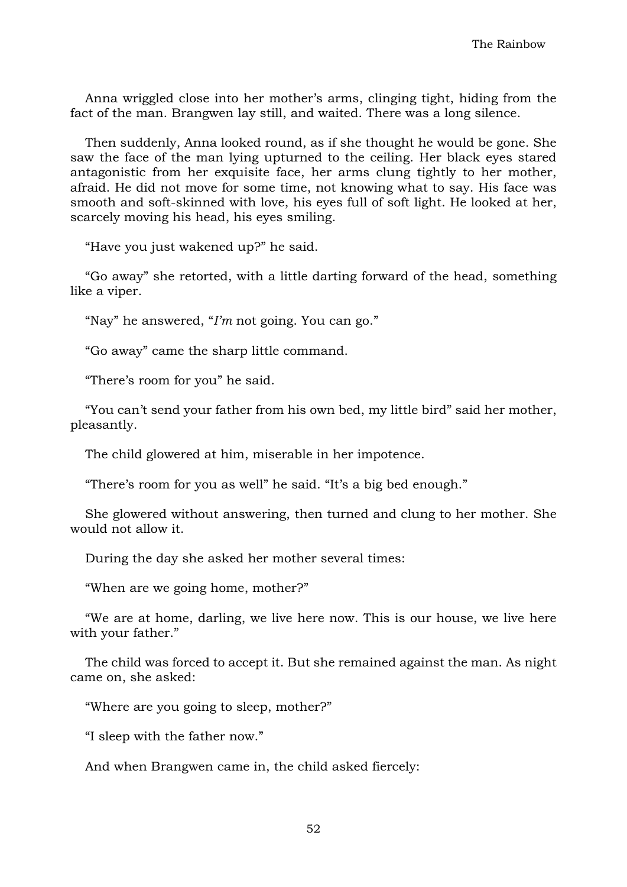Anna wriggled close into her mother's arms, clinging tight, hiding from the fact of the man. Brangwen lay still, and waited. There was a long silence.

Then suddenly, Anna looked round, as if she thought he would be gone. She saw the face of the man lying upturned to the ceiling. Her black eyes stared antagonistic from her exquisite face, her arms clung tightly to her mother, afraid. He did not move for some time, not knowing what to say. His face was smooth and soft-skinned with love, his eyes full of soft light. He looked at her, scarcely moving his head, his eyes smiling.

"Have you just wakened up?" he said.

"Go away" she retorted, with a little darting forward of the head, something like a viper.

"Nay" he answered, "*I'm* not going. You can go."

"Go away" came the sharp little command.

"There's room for you" he said.

"You can't send your father from his own bed, my little bird" said her mother, pleasantly.

The child glowered at him, miserable in her impotence.

"There's room for you as well" he said. "It's a big bed enough."

She glowered without answering, then turned and clung to her mother. She would not allow it.

During the day she asked her mother several times:

"When are we going home, mother?"

"We are at home, darling, we live here now. This is our house, we live here with your father."

The child was forced to accept it. But she remained against the man. As night came on, she asked:

"Where are you going to sleep, mother?"

"I sleep with the father now."

And when Brangwen came in, the child asked fiercely: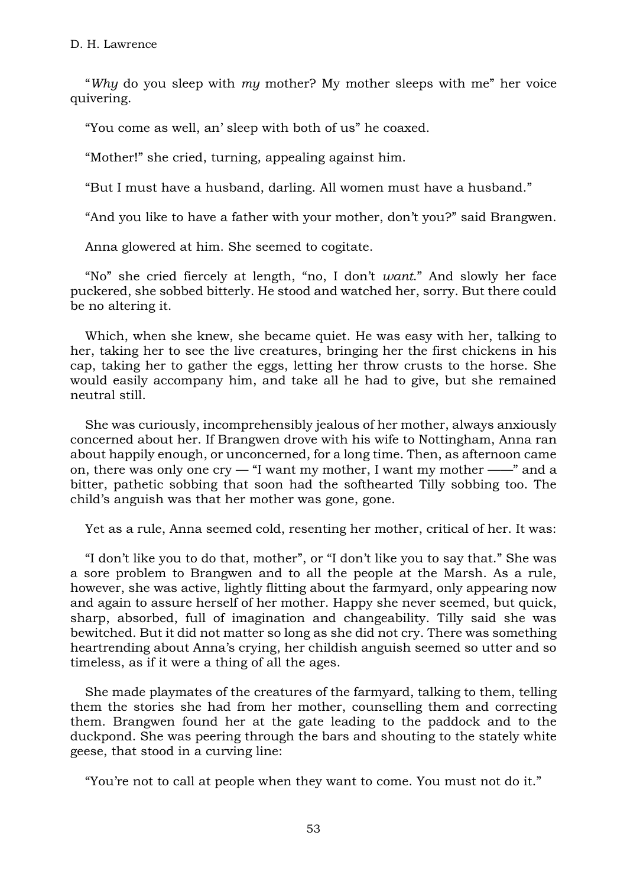"*Why* do you sleep with *my* mother? My mother sleeps with me" her voice quivering.

"You come as well, an' sleep with both of us" he coaxed.

"Mother!" she cried, turning, appealing against him.

"But I must have a husband, darling. All women must have a husband."

"And you like to have a father with your mother, don't you?" said Brangwen.

Anna glowered at him. She seemed to cogitate.

"No" she cried fiercely at length, "no, I don't *want*." And slowly her face puckered, she sobbed bitterly. He stood and watched her, sorry. But there could be no altering it.

Which, when she knew, she became quiet. He was easy with her, talking to her, taking her to see the live creatures, bringing her the first chickens in his cap, taking her to gather the eggs, letting her throw crusts to the horse. She would easily accompany him, and take all he had to give, but she remained neutral still.

She was curiously, incomprehensibly jealous of her mother, always anxiously concerned about her. If Brangwen drove with his wife to Nottingham, Anna ran about happily enough, or unconcerned, for a long time. Then, as afternoon came on, there was only one  $\text{cv}$  – "I want my mother, I want my mother ——" and a bitter, pathetic sobbing that soon had the softhearted Tilly sobbing too. The child's anguish was that her mother was gone, gone.

Yet as a rule, Anna seemed cold, resenting her mother, critical of her. It was:

"I don't like you to do that, mother", or "I don't like you to say that." She was a sore problem to Brangwen and to all the people at the Marsh. As a rule, however, she was active, lightly flitting about the farmyard, only appearing now and again to assure herself of her mother. Happy she never seemed, but quick, sharp, absorbed, full of imagination and changeability. Tilly said she was bewitched. But it did not matter so long as she did not cry. There was something heartrending about Anna's crying, her childish anguish seemed so utter and so timeless, as if it were a thing of all the ages.

She made playmates of the creatures of the farmyard, talking to them, telling them the stories she had from her mother, counselling them and correcting them. Brangwen found her at the gate leading to the paddock and to the duckpond. She was peering through the bars and shouting to the stately white geese, that stood in a curving line:

"You're not to call at people when they want to come. You must not do it."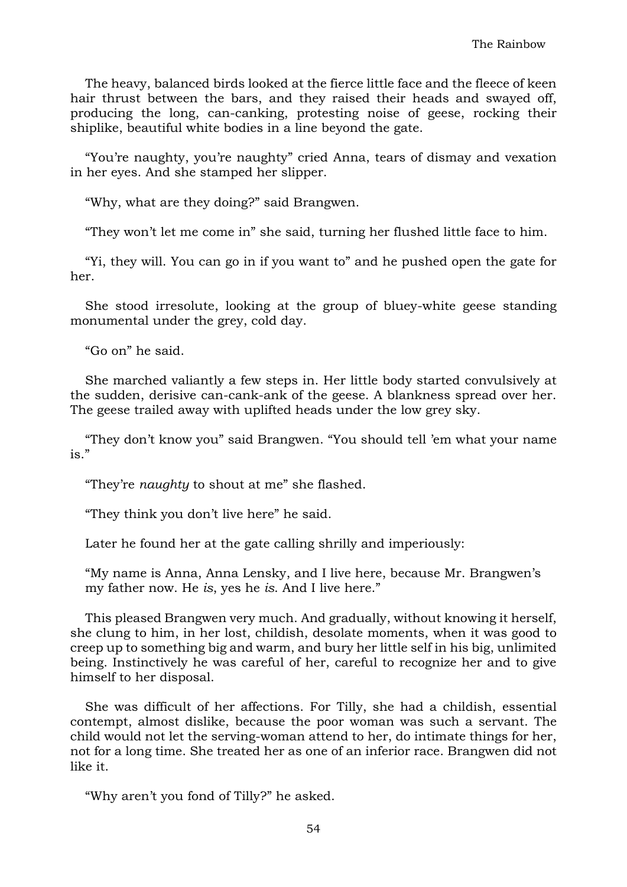The heavy, balanced birds looked at the fierce little face and the fleece of keen hair thrust between the bars, and they raised their heads and swayed off, producing the long, can-canking, protesting noise of geese, rocking their shiplike, beautiful white bodies in a line beyond the gate.

"You're naughty, you're naughty" cried Anna, tears of dismay and vexation in her eyes. And she stamped her slipper.

"Why, what are they doing?" said Brangwen.

"They won't let me come in" she said, turning her flushed little face to him.

"Yi, they will. You can go in if you want to" and he pushed open the gate for her.

She stood irresolute, looking at the group of bluey-white geese standing monumental under the grey, cold day.

"Go on" he said.

She marched valiantly a few steps in. Her little body started convulsively at the sudden, derisive can-cank-ank of the geese. A blankness spread over her. The geese trailed away with uplifted heads under the low grey sky.

"They don't know you" said Brangwen. "You should tell 'em what your name is."

"They're *naughty* to shout at me" she flashed.

"They think you don't live here" he said.

Later he found her at the gate calling shrilly and imperiously:

"My name is Anna, Anna Lensky, and I live here, because Mr. Brangwen's my father now. He *is*, yes he *is*. And I live here."

This pleased Brangwen very much. And gradually, without knowing it herself, she clung to him, in her lost, childish, desolate moments, when it was good to creep up to something big and warm, and bury her little self in his big, unlimited being. Instinctively he was careful of her, careful to recognize her and to give himself to her disposal.

She was difficult of her affections. For Tilly, she had a childish, essential contempt, almost dislike, because the poor woman was such a servant. The child would not let the serving-woman attend to her, do intimate things for her, not for a long time. She treated her as one of an inferior race. Brangwen did not like it.

"Why aren't you fond of Tilly?" he asked.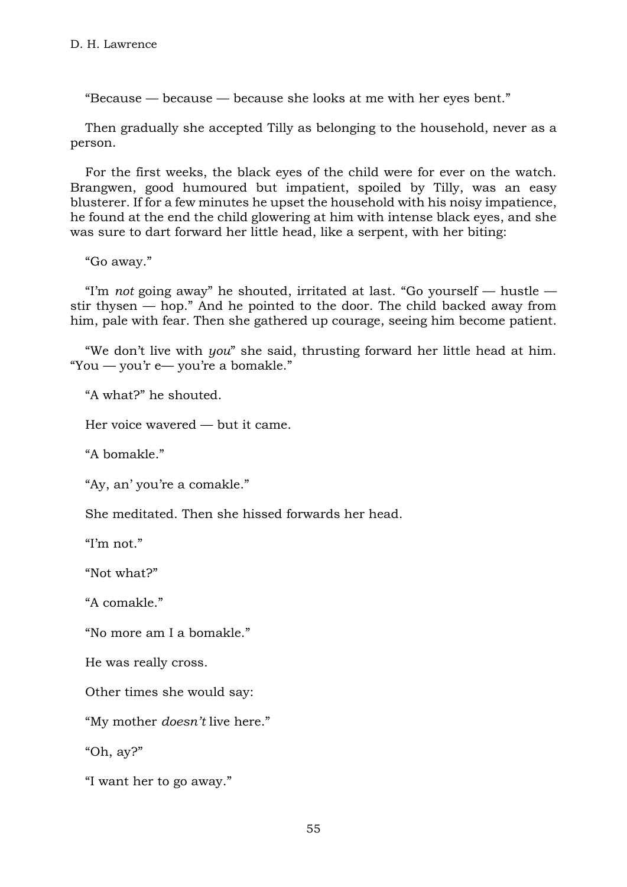"Because — because — because she looks at me with her eyes bent."

Then gradually she accepted Tilly as belonging to the household, never as a person.

For the first weeks, the black eyes of the child were for ever on the watch. Brangwen, good humoured but impatient, spoiled by Tilly, was an easy blusterer. If for a few minutes he upset the household with his noisy impatience, he found at the end the child glowering at him with intense black eyes, and she was sure to dart forward her little head, like a serpent, with her biting:

"Go away."

"I'm *not* going away" he shouted, irritated at last. "Go yourself — hustle stir thysen — hop." And he pointed to the door. The child backed away from him, pale with fear. Then she gathered up courage, seeing him become patient.

"We don't live with *you*" she said, thrusting forward her little head at him. "You — you'r e— you're a bomakle."

"A what?" he shouted.

Her voice wavered — but it came.

"A bomakle."

"Ay, an' you're a comakle."

She meditated. Then she hissed forwards her head.

"I'm not."

"Not what?"

"A comakle."

"No more am I a bomakle."

He was really cross.

Other times she would say:

"My mother *doesn't* live here."

"Oh, ay?"

"I want her to go away."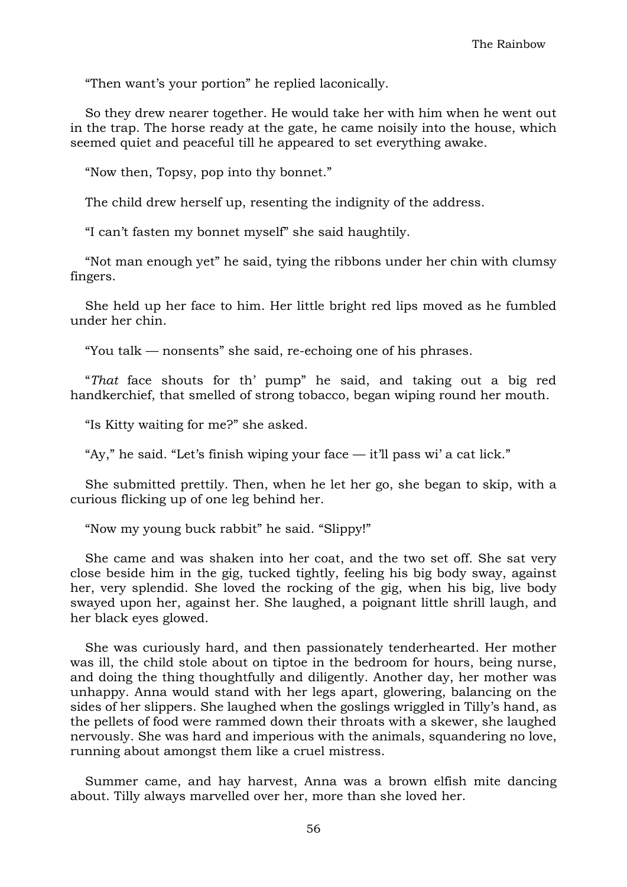"Then want's your portion" he replied laconically.

So they drew nearer together. He would take her with him when he went out in the trap. The horse ready at the gate, he came noisily into the house, which seemed quiet and peaceful till he appeared to set everything awake.

"Now then, Topsy, pop into thy bonnet."

The child drew herself up, resenting the indignity of the address.

"I can't fasten my bonnet myself" she said haughtily.

"Not man enough yet" he said, tying the ribbons under her chin with clumsy fingers.

She held up her face to him. Her little bright red lips moved as he fumbled under her chin.

"You talk — nonsents" she said, re-echoing one of his phrases.

"*That* face shouts for th' pump" he said, and taking out a big red handkerchief, that smelled of strong tobacco, began wiping round her mouth.

"Is Kitty waiting for me?" she asked.

"Ay," he said. "Let's finish wiping your face — it'll pass wi' a cat lick."

She submitted prettily. Then, when he let her go, she began to skip, with a curious flicking up of one leg behind her.

"Now my young buck rabbit" he said. "Slippy!"

She came and was shaken into her coat, and the two set off. She sat very close beside him in the gig, tucked tightly, feeling his big body sway, against her, very splendid. She loved the rocking of the gig, when his big, live body swayed upon her, against her. She laughed, a poignant little shrill laugh, and her black eyes glowed.

She was curiously hard, and then passionately tenderhearted. Her mother was ill, the child stole about on tiptoe in the bedroom for hours, being nurse, and doing the thing thoughtfully and diligently. Another day, her mother was unhappy. Anna would stand with her legs apart, glowering, balancing on the sides of her slippers. She laughed when the goslings wriggled in Tilly's hand, as the pellets of food were rammed down their throats with a skewer, she laughed nervously. She was hard and imperious with the animals, squandering no love, running about amongst them like a cruel mistress.

Summer came, and hay harvest, Anna was a brown elfish mite dancing about. Tilly always marvelled over her, more than she loved her.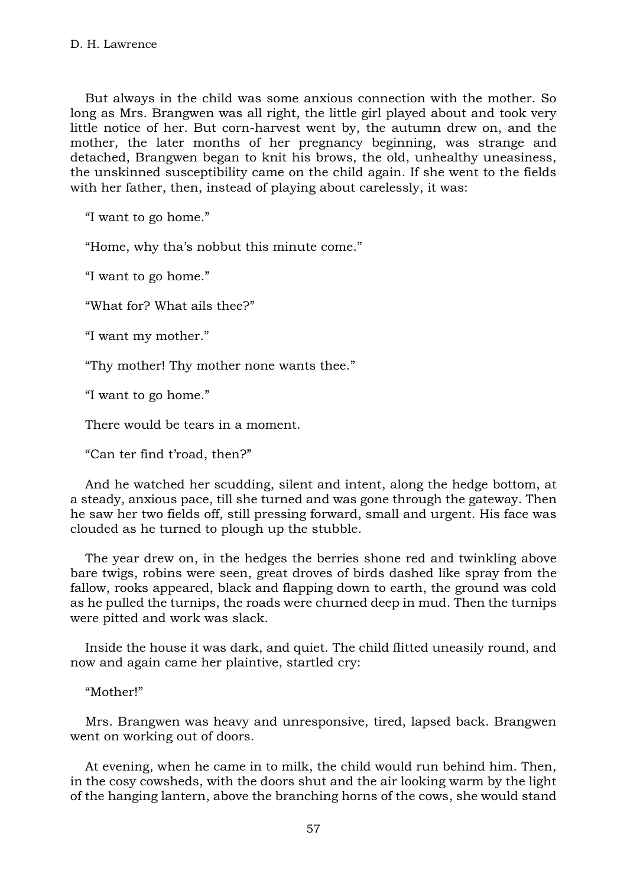But always in the child was some anxious connection with the mother. So long as Mrs. Brangwen was all right, the little girl played about and took very little notice of her. But corn-harvest went by, the autumn drew on, and the mother, the later months of her pregnancy beginning, was strange and detached, Brangwen began to knit his brows, the old, unhealthy uneasiness, the unskinned susceptibility came on the child again. If she went to the fields with her father, then, instead of playing about carelessly, it was:

"I want to go home."

"Home, why tha's nobbut this minute come."

"I want to go home."

"What for? What ails thee?"

"I want my mother."

"Thy mother! Thy mother none wants thee."

"I want to go home."

There would be tears in a moment.

"Can ter find t'road, then?"

And he watched her scudding, silent and intent, along the hedge bottom, at a steady, anxious pace, till she turned and was gone through the gateway. Then he saw her two fields off, still pressing forward, small and urgent. His face was clouded as he turned to plough up the stubble.

The year drew on, in the hedges the berries shone red and twinkling above bare twigs, robins were seen, great droves of birds dashed like spray from the fallow, rooks appeared, black and flapping down to earth, the ground was cold as he pulled the turnips, the roads were churned deep in mud. Then the turnips were pitted and work was slack.

Inside the house it was dark, and quiet. The child flitted uneasily round, and now and again came her plaintive, startled cry:

"Mother!"

Mrs. Brangwen was heavy and unresponsive, tired, lapsed back. Brangwen went on working out of doors.

At evening, when he came in to milk, the child would run behind him. Then, in the cosy cowsheds, with the doors shut and the air looking warm by the light of the hanging lantern, above the branching horns of the cows, she would stand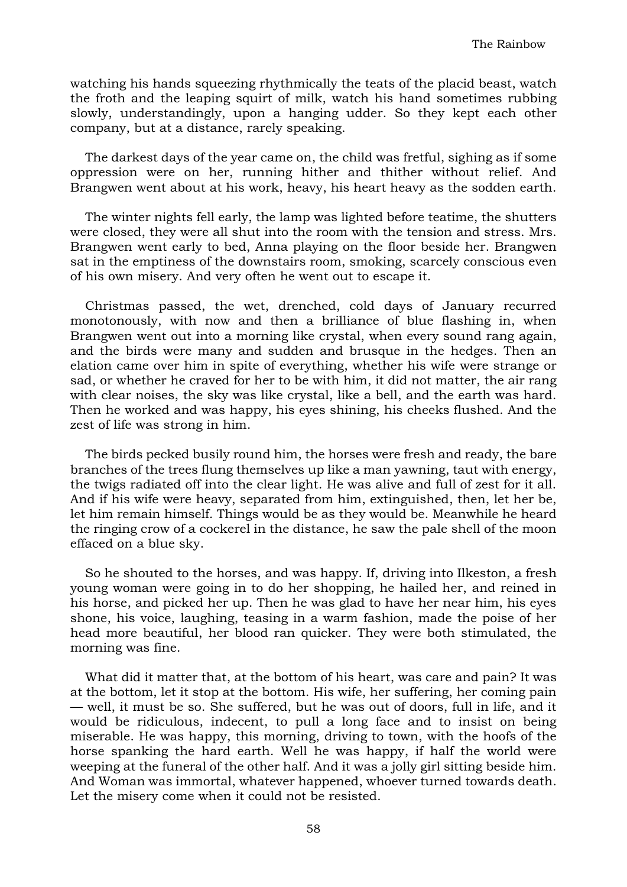watching his hands squeezing rhythmically the teats of the placid beast, watch the froth and the leaping squirt of milk, watch his hand sometimes rubbing slowly, understandingly, upon a hanging udder. So they kept each other company, but at a distance, rarely speaking.

The darkest days of the year came on, the child was fretful, sighing as if some oppression were on her, running hither and thither without relief. And Brangwen went about at his work, heavy, his heart heavy as the sodden earth.

The winter nights fell early, the lamp was lighted before teatime, the shutters were closed, they were all shut into the room with the tension and stress. Mrs. Brangwen went early to bed, Anna playing on the floor beside her. Brangwen sat in the emptiness of the downstairs room, smoking, scarcely conscious even of his own misery. And very often he went out to escape it.

Christmas passed, the wet, drenched, cold days of January recurred monotonously, with now and then a brilliance of blue flashing in, when Brangwen went out into a morning like crystal, when every sound rang again, and the birds were many and sudden and brusque in the hedges. Then an elation came over him in spite of everything, whether his wife were strange or sad, or whether he craved for her to be with him, it did not matter, the air rang with clear noises, the sky was like crystal, like a bell, and the earth was hard. Then he worked and was happy, his eyes shining, his cheeks flushed. And the zest of life was strong in him.

The birds pecked busily round him, the horses were fresh and ready, the bare branches of the trees flung themselves up like a man yawning, taut with energy, the twigs radiated off into the clear light. He was alive and full of zest for it all. And if his wife were heavy, separated from him, extinguished, then, let her be, let him remain himself. Things would be as they would be. Meanwhile he heard the ringing crow of a cockerel in the distance, he saw the pale shell of the moon effaced on a blue sky.

So he shouted to the horses, and was happy. If, driving into Ilkeston, a fresh young woman were going in to do her shopping, he hailed her, and reined in his horse, and picked her up. Then he was glad to have her near him, his eyes shone, his voice, laughing, teasing in a warm fashion, made the poise of her head more beautiful, her blood ran quicker. They were both stimulated, the morning was fine.

What did it matter that, at the bottom of his heart, was care and pain? It was at the bottom, let it stop at the bottom. His wife, her suffering, her coming pain — well, it must be so. She suffered, but he was out of doors, full in life, and it would be ridiculous, indecent, to pull a long face and to insist on being miserable. He was happy, this morning, driving to town, with the hoofs of the horse spanking the hard earth. Well he was happy, if half the world were weeping at the funeral of the other half. And it was a jolly girl sitting beside him. And Woman was immortal, whatever happened, whoever turned towards death. Let the misery come when it could not be resisted.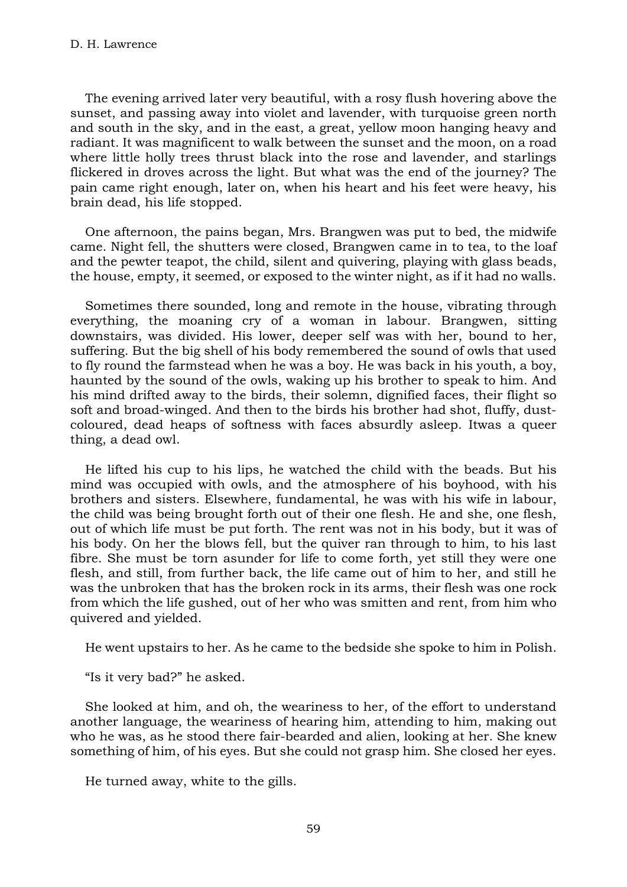The evening arrived later very beautiful, with a rosy flush hovering above the sunset, and passing away into violet and lavender, with turquoise green north and south in the sky, and in the east, a great, yellow moon hanging heavy and radiant. It was magnificent to walk between the sunset and the moon, on a road where little holly trees thrust black into the rose and lavender, and starlings flickered in droves across the light. But what was the end of the journey? The pain came right enough, later on, when his heart and his feet were heavy, his brain dead, his life stopped.

One afternoon, the pains began, Mrs. Brangwen was put to bed, the midwife came. Night fell, the shutters were closed, Brangwen came in to tea, to the loaf and the pewter teapot, the child, silent and quivering, playing with glass beads, the house, empty, it seemed, or exposed to the winter night, as if it had no walls.

Sometimes there sounded, long and remote in the house, vibrating through everything, the moaning cry of a woman in labour. Brangwen, sitting downstairs, was divided. His lower, deeper self was with her, bound to her, suffering. But the big shell of his body remembered the sound of owls that used to fly round the farmstead when he was a boy. He was back in his youth, a boy, haunted by the sound of the owls, waking up his brother to speak to him. And his mind drifted away to the birds, their solemn, dignified faces, their flight so soft and broad-winged. And then to the birds his brother had shot, fluffy, dustcoloured, dead heaps of softness with faces absurdly asleep. Itwas a queer thing, a dead owl.

He lifted his cup to his lips, he watched the child with the beads. But his mind was occupied with owls, and the atmosphere of his boyhood, with his brothers and sisters. Elsewhere, fundamental, he was with his wife in labour, the child was being brought forth out of their one flesh. He and she, one flesh, out of which life must be put forth. The rent was not in his body, but it was of his body. On her the blows fell, but the quiver ran through to him, to his last fibre. She must be torn asunder for life to come forth, yet still they were one flesh, and still, from further back, the life came out of him to her, and still he was the unbroken that has the broken rock in its arms, their flesh was one rock from which the life gushed, out of her who was smitten and rent, from him who quivered and yielded.

He went upstairs to her. As he came to the bedside she spoke to him in Polish.

"Is it very bad?" he asked.

She looked at him, and oh, the weariness to her, of the effort to understand another language, the weariness of hearing him, attending to him, making out who he was, as he stood there fair-bearded and alien, looking at her. She knew something of him, of his eyes. But she could not grasp him. She closed her eyes.

He turned away, white to the gills.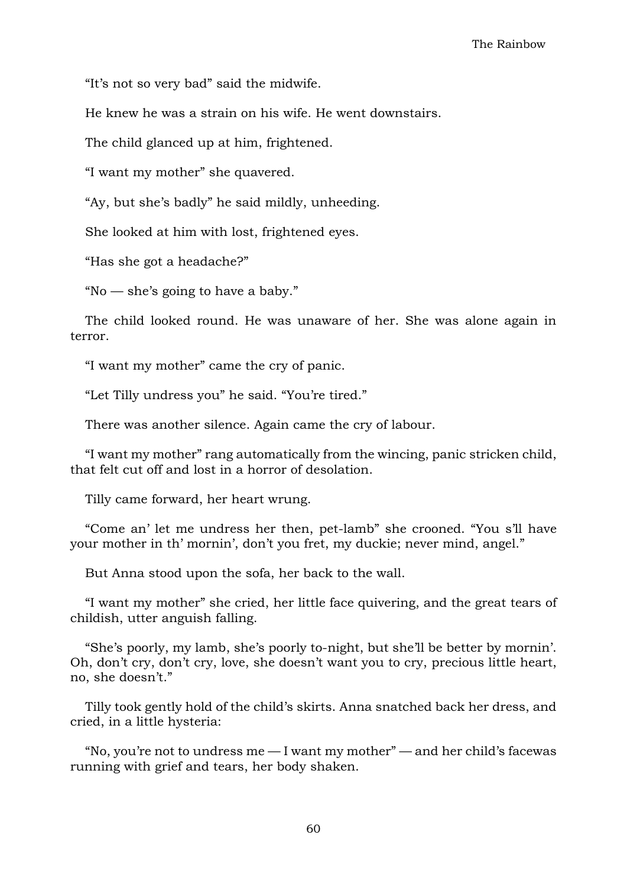"It's not so very bad" said the midwife.

He knew he was a strain on his wife. He went downstairs.

The child glanced up at him, frightened.

"I want my mother" she quavered.

"Ay, but she's badly" he said mildly, unheeding.

She looked at him with lost, frightened eyes.

"Has she got a headache?"

"No — she's going to have a baby."

The child looked round. He was unaware of her. She was alone again in terror.

"I want my mother" came the cry of panic.

"Let Tilly undress you" he said. "You're tired."

There was another silence. Again came the cry of labour.

"I want my mother" rang automatically from the wincing, panic stricken child, that felt cut off and lost in a horror of desolation.

Tilly came forward, her heart wrung.

"Come an' let me undress her then, pet-lamb" she crooned. "You s'll have your mother in th' mornin', don't you fret, my duckie; never mind, angel."

But Anna stood upon the sofa, her back to the wall.

"I want my mother" she cried, her little face quivering, and the great tears of childish, utter anguish falling.

"She's poorly, my lamb, she's poorly to-night, but she'll be better by mornin'. Oh, don't cry, don't cry, love, she doesn't want you to cry, precious little heart, no, she doesn't."

Tilly took gently hold of the child's skirts. Anna snatched back her dress, and cried, in a little hysteria:

"No, you're not to undress me  $-$  I want my mother"  $-$  and her child's facewas running with grief and tears, her body shaken.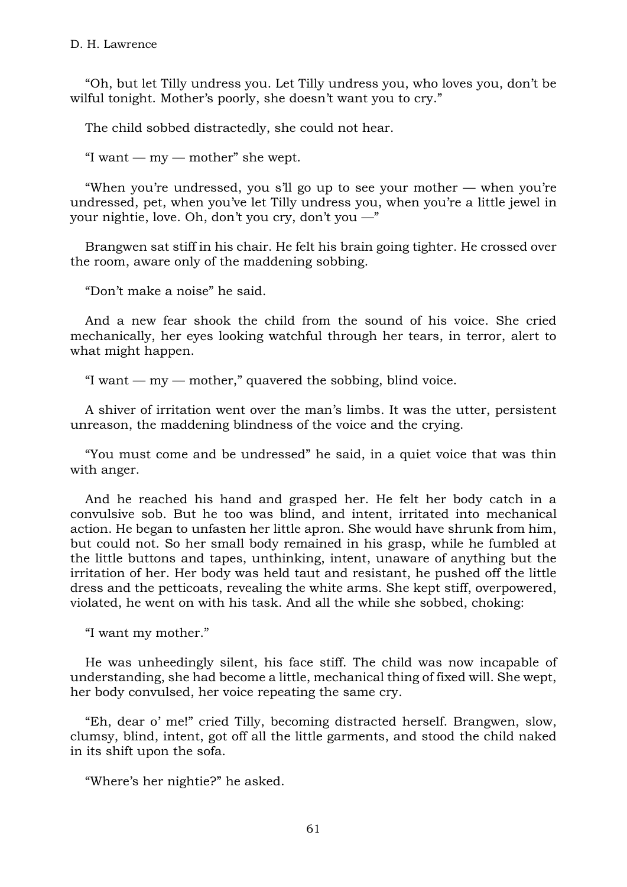"Oh, but let Tilly undress you. Let Tilly undress you, who loves you, don't be wilful tonight. Mother's poorly, she doesn't want you to cry."

The child sobbed distractedly, she could not hear.

"I want —  $my$  — mother" she wept.

"When you're undressed, you s'll go up to see your mother — when you're undressed, pet, when you've let Tilly undress you, when you're a little jewel in your nightie, love. Oh, don't you cry, don't you —"

Brangwen sat stiff in his chair. He felt his brain going tighter. He crossed over the room, aware only of the maddening sobbing.

"Don't make a noise" he said.

And a new fear shook the child from the sound of his voice. She cried mechanically, her eyes looking watchful through her tears, in terror, alert to what might happen.

"I want  $-$  my  $-$  mother," quavered the sobbing, blind voice.

A shiver of irritation went over the man's limbs. It was the utter, persistent unreason, the maddening blindness of the voice and the crying.

"You must come and be undressed" he said, in a quiet voice that was thin with anger.

And he reached his hand and grasped her. He felt her body catch in a convulsive sob. But he too was blind, and intent, irritated into mechanical action. He began to unfasten her little apron. She would have shrunk from him, but could not. So her small body remained in his grasp, while he fumbled at the little buttons and tapes, unthinking, intent, unaware of anything but the irritation of her. Her body was held taut and resistant, he pushed off the little dress and the petticoats, revealing the white arms. She kept stiff, overpowered, violated, he went on with his task. And all the while she sobbed, choking:

"I want my mother."

He was unheedingly silent, his face stiff. The child was now incapable of understanding, she had become a little, mechanical thing of fixed will. She wept, her body convulsed, her voice repeating the same cry.

"Eh, dear o' me!" cried Tilly, becoming distracted herself. Brangwen, slow, clumsy, blind, intent, got off all the little garments, and stood the child naked in its shift upon the sofa.

"Where's her nightie?" he asked.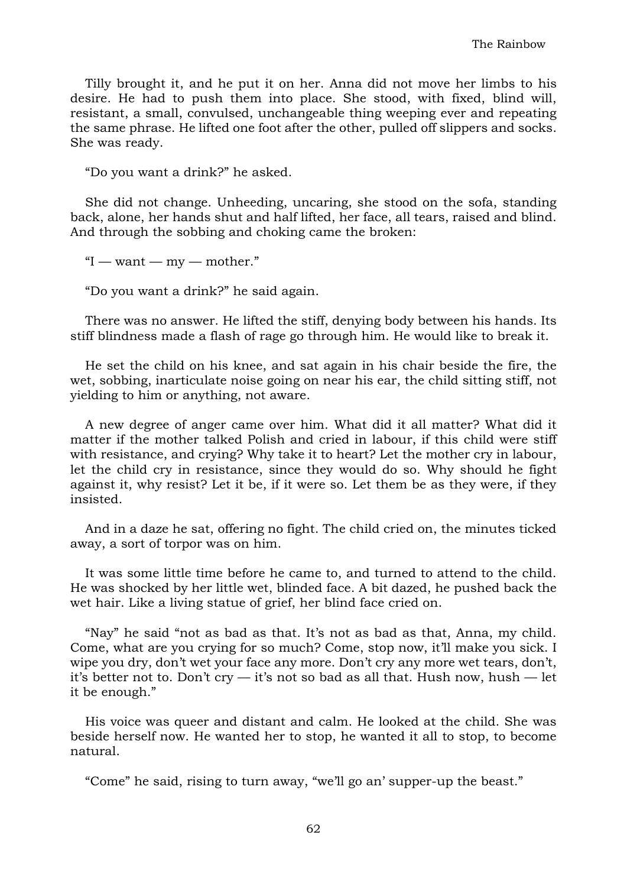Tilly brought it, and he put it on her. Anna did not move her limbs to his desire. He had to push them into place. She stood, with fixed, blind will, resistant, a small, convulsed, unchangeable thing weeping ever and repeating the same phrase. He lifted one foot after the other, pulled off slippers and socks. She was ready.

"Do you want a drink?" he asked.

She did not change. Unheeding, uncaring, she stood on the sofa, standing back, alone, her hands shut and half lifted, her face, all tears, raised and blind. And through the sobbing and choking came the broken:

 $"I$  — want — my — mother."

"Do you want a drink?" he said again.

There was no answer. He lifted the stiff, denying body between his hands. Its stiff blindness made a flash of rage go through him. He would like to break it.

He set the child on his knee, and sat again in his chair beside the fire, the wet, sobbing, inarticulate noise going on near his ear, the child sitting stiff, not yielding to him or anything, not aware.

A new degree of anger came over him. What did it all matter? What did it matter if the mother talked Polish and cried in labour, if this child were stiff with resistance, and crying? Why take it to heart? Let the mother cry in labour, let the child cry in resistance, since they would do so. Why should he fight against it, why resist? Let it be, if it were so. Let them be as they were, if they insisted.

And in a daze he sat, offering no fight. The child cried on, the minutes ticked away, a sort of torpor was on him.

It was some little time before he came to, and turned to attend to the child. He was shocked by her little wet, blinded face. A bit dazed, he pushed back the wet hair. Like a living statue of grief, her blind face cried on.

"Nay" he said "not as bad as that. It's not as bad as that, Anna, my child. Come, what are you crying for so much? Come, stop now, it'll make you sick. I wipe you dry, don't wet your face any more. Don't cry any more wet tears, don't, it's better not to. Don't cry  $-$  it's not so bad as all that. Hush now, hush  $-$  let it be enough."

His voice was queer and distant and calm. He looked at the child. She was beside herself now. He wanted her to stop, he wanted it all to stop, to become natural.

"Come" he said, rising to turn away, "we'll go an' supper-up the beast."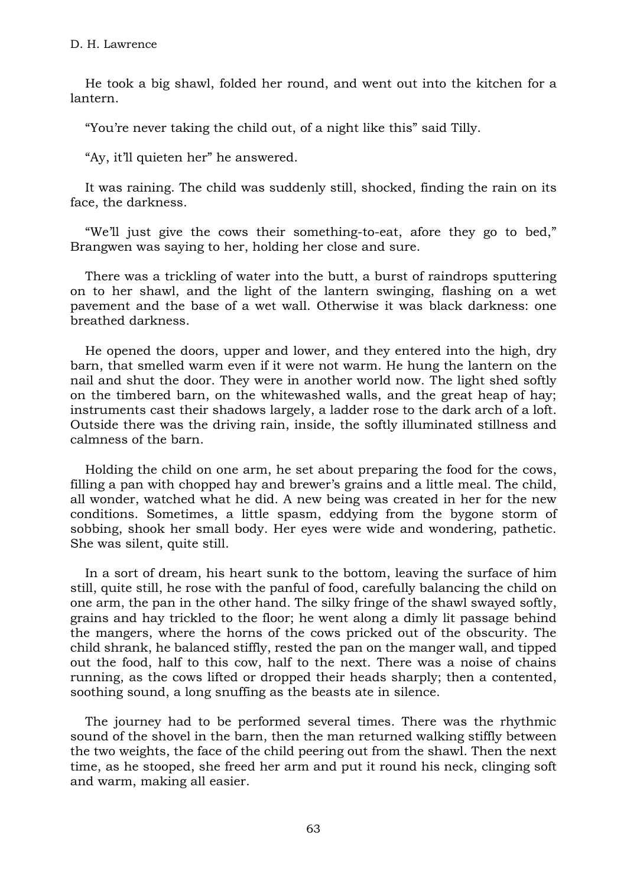He took a big shawl, folded her round, and went out into the kitchen for a lantern.

"You're never taking the child out, of a night like this" said Tilly.

"Ay, it'll quieten her" he answered.

It was raining. The child was suddenly still, shocked, finding the rain on its face, the darkness.

"We'll just give the cows their something-to-eat, afore they go to bed," Brangwen was saying to her, holding her close and sure.

There was a trickling of water into the butt, a burst of raindrops sputtering on to her shawl, and the light of the lantern swinging, flashing on a wet pavement and the base of a wet wall. Otherwise it was black darkness: one breathed darkness.

He opened the doors, upper and lower, and they entered into the high, dry barn, that smelled warm even if it were not warm. He hung the lantern on the nail and shut the door. They were in another world now. The light shed softly on the timbered barn, on the whitewashed walls, and the great heap of hay; instruments cast their shadows largely, a ladder rose to the dark arch of a loft. Outside there was the driving rain, inside, the softly illuminated stillness and calmness of the barn.

Holding the child on one arm, he set about preparing the food for the cows, filling a pan with chopped hay and brewer's grains and a little meal. The child, all wonder, watched what he did. A new being was created in her for the new conditions. Sometimes, a little spasm, eddying from the bygone storm of sobbing, shook her small body. Her eyes were wide and wondering, pathetic. She was silent, quite still.

In a sort of dream, his heart sunk to the bottom, leaving the surface of him still, quite still, he rose with the panful of food, carefully balancing the child on one arm, the pan in the other hand. The silky fringe of the shawl swayed softly, grains and hay trickled to the floor; he went along a dimly lit passage behind the mangers, where the horns of the cows pricked out of the obscurity. The child shrank, he balanced stiffly, rested the pan on the manger wall, and tipped out the food, half to this cow, half to the next. There was a noise of chains running, as the cows lifted or dropped their heads sharply; then a contented, soothing sound, a long snuffing as the beasts ate in silence.

The journey had to be performed several times. There was the rhythmic sound of the shovel in the barn, then the man returned walking stiffly between the two weights, the face of the child peering out from the shawl. Then the next time, as he stooped, she freed her arm and put it round his neck, clinging soft and warm, making all easier.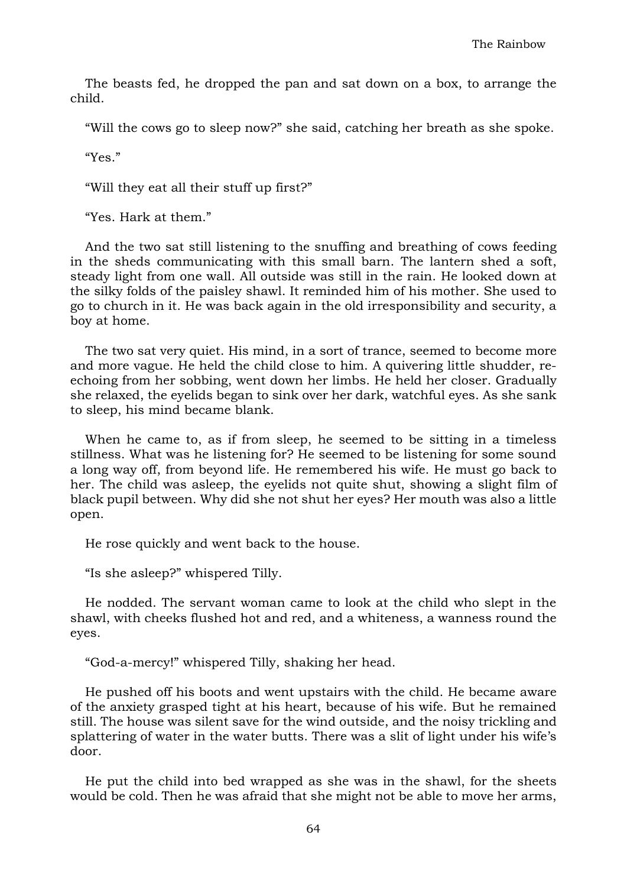The beasts fed, he dropped the pan and sat down on a box, to arrange the child.

"Will the cows go to sleep now?" she said, catching her breath as she spoke.

"Yes."

"Will they eat all their stuff up first?"

"Yes. Hark at them."

And the two sat still listening to the snuffing and breathing of cows feeding in the sheds communicating with this small barn. The lantern shed a soft, steady light from one wall. All outside was still in the rain. He looked down at the silky folds of the paisley shawl. It reminded him of his mother. She used to go to church in it. He was back again in the old irresponsibility and security, a boy at home.

The two sat very quiet. His mind, in a sort of trance, seemed to become more and more vague. He held the child close to him. A quivering little shudder, reechoing from her sobbing, went down her limbs. He held her closer. Gradually she relaxed, the eyelids began to sink over her dark, watchful eyes. As she sank to sleep, his mind became blank.

When he came to, as if from sleep, he seemed to be sitting in a timeless stillness. What was he listening for? He seemed to be listening for some sound a long way off, from beyond life. He remembered his wife. He must go back to her. The child was asleep, the eyelids not quite shut, showing a slight film of black pupil between. Why did she not shut her eyes? Her mouth was also a little open.

He rose quickly and went back to the house.

"Is she asleep?" whispered Tilly.

He nodded. The servant woman came to look at the child who slept in the shawl, with cheeks flushed hot and red, and a whiteness, a wanness round the eyes.

"God-a-mercy!" whispered Tilly, shaking her head.

He pushed off his boots and went upstairs with the child. He became aware of the anxiety grasped tight at his heart, because of his wife. But he remained still. The house was silent save for the wind outside, and the noisy trickling and splattering of water in the water butts. There was a slit of light under his wife's door.

He put the child into bed wrapped as she was in the shawl, for the sheets would be cold. Then he was afraid that she might not be able to move her arms,